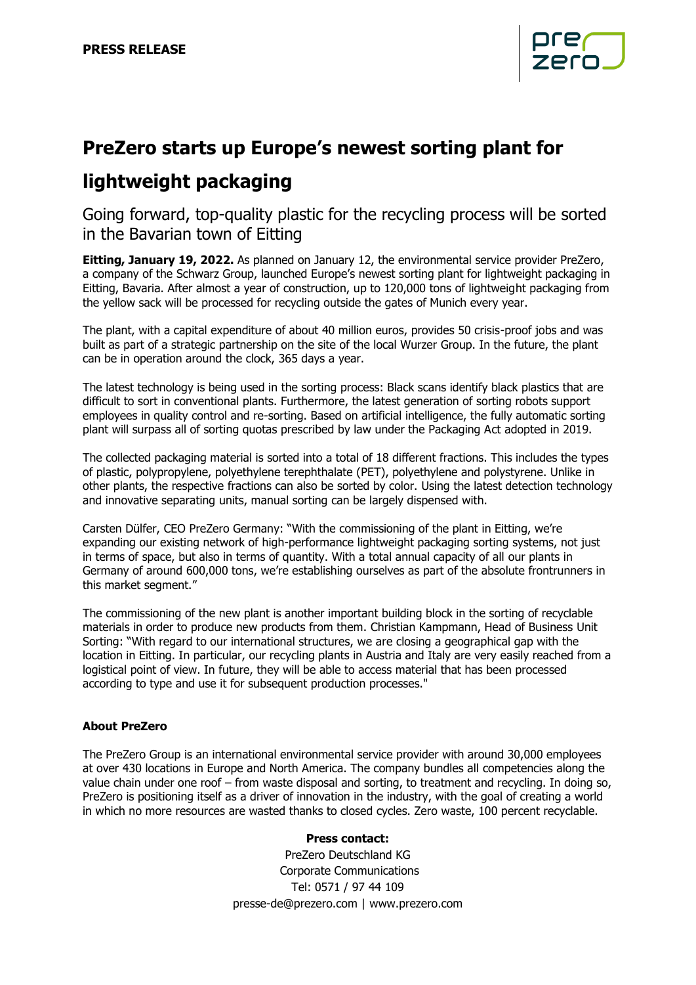

## **PreZero starts up Europe's newest sorting plant for**

# **lightweight packaging**

Going forward, top-quality plastic for the recycling process will be sorted in the Bavarian town of Eitting

**Eitting, January 19, 2022.** As planned on January 12, the environmental service provider PreZero, a company of the Schwarz Group, launched Europe's newest sorting plant for lightweight packaging in Eitting, Bavaria. After almost a year of construction, up to 120,000 tons of lightweight packaging from the yellow sack will be processed for recycling outside the gates of Munich every year.

The plant, with a capital expenditure of about 40 million euros, provides 50 crisis-proof jobs and was built as part of a strategic partnership on the site of the local Wurzer Group. In the future, the plant can be in operation around the clock, 365 days a year.

The latest technology is being used in the sorting process: Black scans identify black plastics that are difficult to sort in conventional plants. Furthermore, the latest generation of sorting robots support employees in quality control and re-sorting. Based on artificial intelligence, the fully automatic sorting plant will surpass all of sorting quotas prescribed by law under the Packaging Act adopted in 2019.

The collected packaging material is sorted into a total of 18 different fractions. This includes the types of plastic, polypropylene, polyethylene terephthalate (PET), polyethylene and polystyrene. Unlike in other plants, the respective fractions can also be sorted by color. Using the latest detection technology and innovative separating units, manual sorting can be largely dispensed with.

Carsten Dülfer, CEO PreZero Germany: "With the commissioning of the plant in Eitting, we're expanding our existing network of high-performance lightweight packaging sorting systems, not just in terms of space, but also in terms of quantity. With a total annual capacity of all our plants in Germany of around 600,000 tons, we're establishing ourselves as part of the absolute frontrunners in this market segment."

The commissioning of the new plant is another important building block in the sorting of recyclable materials in order to produce new products from them. Christian Kampmann, Head of Business Unit Sorting: "With regard to our international structures, we are closing a geographical gap with the location in Eitting. In particular, our recycling plants in Austria and Italy are very easily reached from a logistical point of view. In future, they will be able to access material that has been processed according to type and use it for subsequent production processes."

### **About PreZero**

The PreZero Group is an international environmental service provider with around 30,000 employees at over 430 locations in Europe and North America. The company bundles all competencies along the value chain under one roof – from waste disposal and sorting, to treatment and recycling. In doing so, PreZero is positioning itself as a driver of innovation in the industry, with the goal of creating a world in which no more resources are wasted thanks to closed cycles. Zero waste, 100 percent recyclable.

### **Press contact:**

PreZero Deutschland KG Corporate Communications Tel: 0571 / 97 44 109 [presse-de@prezero.com](mailto:presse-de@prezero.com) | [www.prezero.com](http://www.prezero.com/)